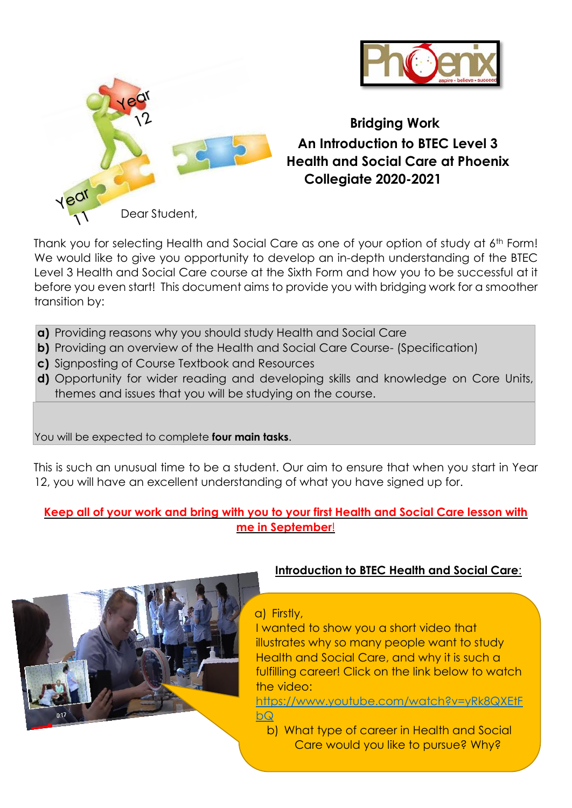



**Bridging Work An Introduction to BTEC Level 3 Health and Social Care at Phoenix Collegiate 2020-2021**

Thank you for selecting Health and Social Care as one of your option of study at 6th Form! We would like to give you opportunity to develop an in-depth understanding of the BTEC Level 3 Health and Social Care course at the Sixth Form and how you to be successful at it before you even start! This document aims to provide you with bridging work for a smoother transition by:

- **a)** Providing reasons why you should study Health and Social Care
- **b)** Providing an overview of the Health and Social Care Course- (Specification)
- **c)** Signposting of Course Textbook and Resources
- **d)** Opportunity for wider reading and developing skills and knowledge on Core Units, themes and issues that you will be studying on the course.

You will be expected to complete **four main tasks**.

This is such an unusual time to be a student. Our aim to ensure that when you start in Year 12, you will have an excellent understanding of what you have signed up for.

### **Keep all of your work and bring with you to your first Health and Social Care lesson with me in September**!



# **Introduction to BTEC Health and Social Care**:

a) Firstly,

I wanted to show you a short video that illustrates why so many people want to study Health and Social Care, and why it is such a fulfilling career! Click on the link below to watch the video:

[https://www.youtube.com/watch?v=yRk8QXEtF](https://www.youtube.com/watch?v=yRk8QXEtFbQ) [bQ](https://www.youtube.com/watch?v=yRk8QXEtFbQ)

b) What type of career in Health and Social Care would you like to pursue? Why?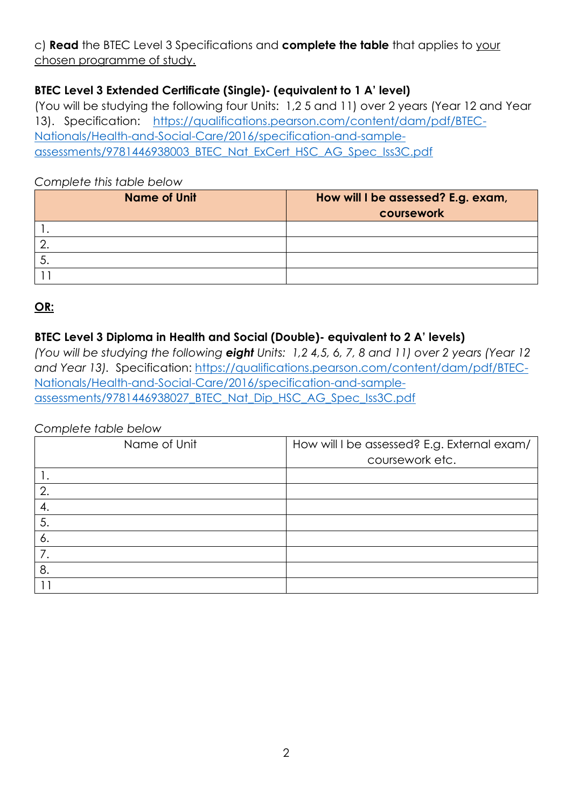# c) **Read** the BTEC Level 3 Specifications and **complete the table** that applies to your chosen programme of study.

# **BTEC Level 3 Extended Certificate (Single)- (equivalent to 1 A' level)**

(You will be studying the following four Units: 1,2 5 and 11) over 2 years (Year 12 and Year 13). Specification: [https://qualifications.pearson.com/content/dam/pdf/BTEC-](https://qualifications.pearson.com/content/dam/pdf/BTEC-Nationals/Health-and-Social-Care/2016/specification-and-sample-assessments/9781446938003_BTEC_Nat_ExCert_HSC_AG_Spec_Iss3C.pdf)[Nationals/Health-and-Social-Care/2016/specification-and-sample](https://qualifications.pearson.com/content/dam/pdf/BTEC-Nationals/Health-and-Social-Care/2016/specification-and-sample-assessments/9781446938003_BTEC_Nat_ExCert_HSC_AG_Spec_Iss3C.pdf)[assessments/9781446938003\\_BTEC\\_Nat\\_ExCert\\_HSC\\_AG\\_Spec\\_Iss3C.pdf](https://qualifications.pearson.com/content/dam/pdf/BTEC-Nationals/Health-and-Social-Care/2016/specification-and-sample-assessments/9781446938003_BTEC_Nat_ExCert_HSC_AG_Spec_Iss3C.pdf)

#### *Complete this table below*

| Name of Unit | How will I be assessed? E.g. exam,<br>coursework |
|--------------|--------------------------------------------------|
|              |                                                  |
|              |                                                  |
|              |                                                  |
|              |                                                  |

# **OR:**

# **BTEC Level 3 Diploma in Health and Social (Double)- equivalent to 2 A' levels)**

*(You will be studying the following eight Units: 1,2 4,5, 6, 7, 8 and 11) over 2 years (Year 12 and Year 13).* Specification: [https://qualifications.pearson.com/content/dam/pdf/BTEC-](https://qualifications.pearson.com/content/dam/pdf/BTEC-Nationals/Health-and-Social-Care/2016/specification-and-sample-assessments/9781446938027_BTEC_Nat_Dip_HSC_AG_Spec_Iss3C.pdf)[Nationals/Health-and-Social-Care/2016/specification-and-sample](https://qualifications.pearson.com/content/dam/pdf/BTEC-Nationals/Health-and-Social-Care/2016/specification-and-sample-assessments/9781446938027_BTEC_Nat_Dip_HSC_AG_Spec_Iss3C.pdf)[assessments/9781446938027\\_BTEC\\_Nat\\_Dip\\_HSC\\_AG\\_Spec\\_Iss3C.pdf](https://qualifications.pearson.com/content/dam/pdf/BTEC-Nationals/Health-and-Social-Care/2016/specification-and-sample-assessments/9781446938027_BTEC_Nat_Dip_HSC_AG_Spec_Iss3C.pdf)

#### *Complete table below*

| Name of Unit   | How will I be assessed? E.g. External exam/<br>coursework etc. |
|----------------|----------------------------------------------------------------|
|                |                                                                |
| 2.             |                                                                |
|                |                                                                |
| 5 <sub>1</sub> |                                                                |
| 6.             |                                                                |
| $\overline{7}$ |                                                                |
| 8.             |                                                                |
|                |                                                                |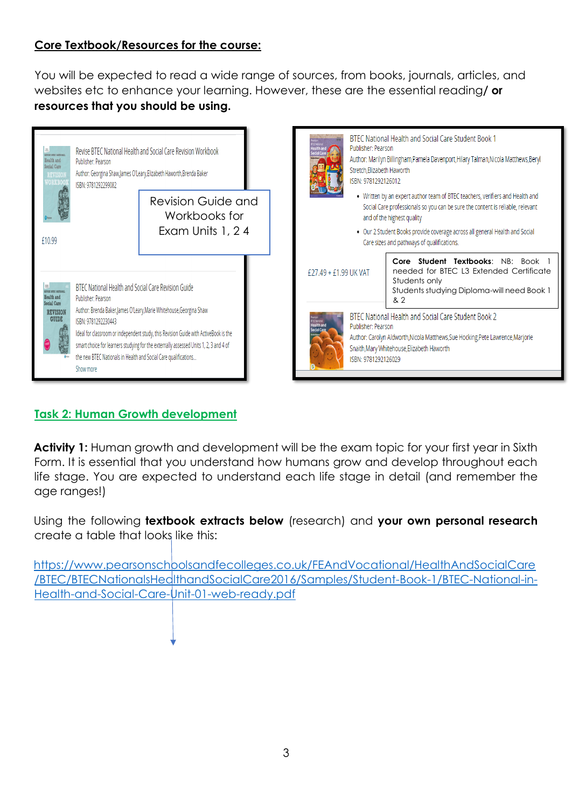## **Core Textbook/Resources for the course:**

You will be expected to read a wide range of sources, from books, journals, articles, and websites etc to enhance your learning. However, these are the essential reading**/ or resources that you should be using.**





# **Task 2: Human Growth development**

**Activity 1:** Human growth and development will be the exam topic for your first year in Sixth Form. It is essential that you understand how humans grow and develop throughout each life stage. You are expected to understand each life stage in detail (and remember the age ranges!)

Using the following **textbook extracts below** (research) and **your own personal research** create a table that looks like this:

[https://www.pearsonschoolsandfecolleges.co.uk/FEAndVocational/HealthAndSocialCare](https://www.pearsonschoolsandfecolleges.co.uk/FEAndVocational/HealthAndSocialCare/BTEC/BTECNationalsHealthandSocialCare2016/Samples/Student-Book-1/BTEC-National-in-Health-and-Social-Care-Unit-01-web-ready.pdf) [/BTEC/BTECNationalsHealthandSocialCare2016/Samples/Student-Book-1/BTEC-National-in-](https://www.pearsonschoolsandfecolleges.co.uk/FEAndVocational/HealthAndSocialCare/BTEC/BTECNationalsHealthandSocialCare2016/Samples/Student-Book-1/BTEC-National-in-Health-and-Social-Care-Unit-01-web-ready.pdf)[Health-and-Social-Care-Unit-01-web-ready.pdf](https://www.pearsonschoolsandfecolleges.co.uk/FEAndVocational/HealthAndSocialCare/BTEC/BTECNationalsHealthandSocialCare2016/Samples/Student-Book-1/BTEC-National-in-Health-and-Social-Care-Unit-01-web-ready.pdf)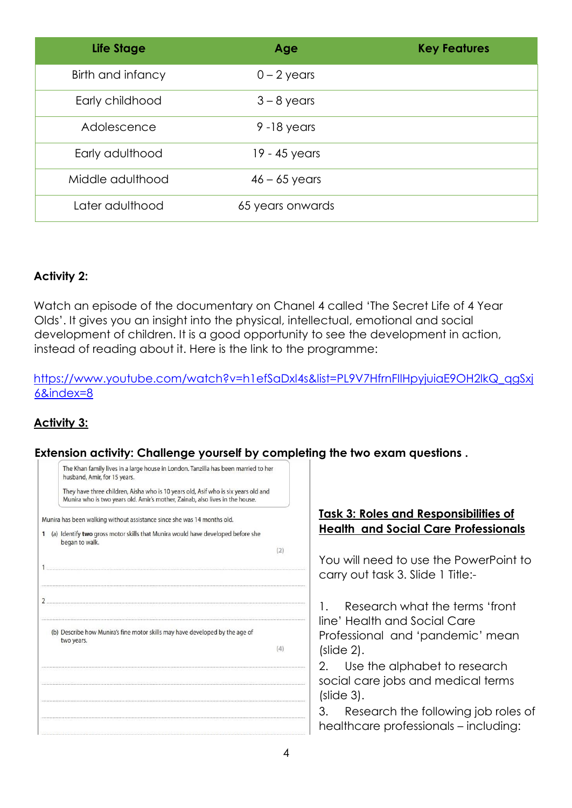| Life Stage        | Age              | <b>Key Features</b> |
|-------------------|------------------|---------------------|
| Birth and infancy | $0 - 2$ years    |                     |
| Early childhood   | $3 - 8$ years    |                     |
| Adolescence       | $9 - 18$ years   |                     |
| Early adulthood   | 19 - 45 years    |                     |
| Middle adulthood  | $46 - 65$ years  |                     |
| Later adulthood   | 65 years onwards |                     |

### **Activity 2:**

Watch an episode of the documentary on Chanel 4 called 'The Secret Life of 4 Year Olds'. It gives you an insight into the physical, intellectual, emotional and social development of children. It is a good opportunity to see the development in action, instead of reading about it. Here is the link to the programme:

### [https://www.youtube.com/watch?v=h1efSaDxl4s&list=PL9V7HfrnFIlHpyjuiaE9OH2lkQ\\_qgSxj](https://www.youtube.com/watch?v=h1efSaDxl4s&list=PL9V7HfrnFIlHpyjuiaE9OH2lkQ_qgSxj6&index=8) [6&index=8](https://www.youtube.com/watch?v=h1efSaDxl4s&list=PL9V7HfrnFIlHpyjuiaE9OH2lkQ_qgSxj6&index=8)

### **Activity 3:**

#### **Extension activity: Challenge yourself by completing the two exam questions .**

| The Khan family lives in a large house in London. Tanzilla has been married to her<br>husband, Amir, for 15 years.<br>They have three children, Aisha who is 10 years old, Asif who is six years old and<br>Munira who is two years old. Amir's mother, Zainab, also lives in the house. |                                                                                                                  |
|------------------------------------------------------------------------------------------------------------------------------------------------------------------------------------------------------------------------------------------------------------------------------------------|------------------------------------------------------------------------------------------------------------------|
| Munira has been walking without assistance since she was 14 months old.                                                                                                                                                                                                                  | <u><b>Task 3: Roles and Responsibilities of </b></u>                                                             |
| 1 (a) Identify two gross motor skills that Munira would have developed before she<br>began to walk.<br>(2)                                                                                                                                                                               | <b>Health and Social Care Professionals</b>                                                                      |
|                                                                                                                                                                                                                                                                                          | You will need to use the PowerPoint to<br>carry out task 3. Slide 1 Title:-                                      |
| $\overline{2}$<br>(b) Describe how Munira's fine motor skills may have developed by the age of<br>two years.<br>(4)                                                                                                                                                                      | Research what the terms 'front<br>line' Health and Social Care<br>Professional and 'pandemic' mean<br>(slide 2). |
|                                                                                                                                                                                                                                                                                          | Use the alphabet to research<br>2.<br>social care jobs and medical terms<br>(slide 3).                           |
|                                                                                                                                                                                                                                                                                          | 3.<br>Research the following job roles of<br>healthcare professionals - including:                               |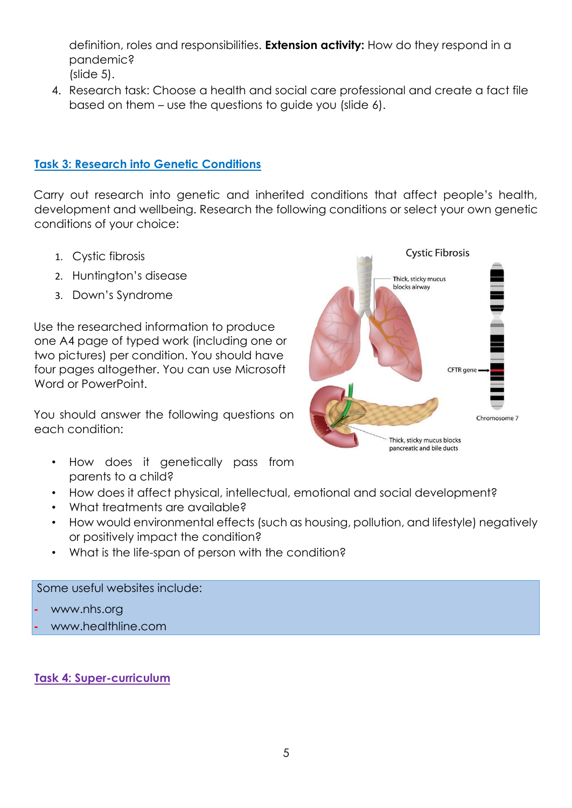definition, roles and responsibilities. **Extension activity:** How do they respond in a pandemic? (slide 5).

4. Research task: Choose a health and social care professional and create a fact file based on them – use the questions to guide you (slide 6).

#### **Task 3: Research into Genetic Conditions**

Carry out research into genetic and inherited conditions that affect people's health, development and wellbeing. Research the following conditions or select your own genetic conditions of your choice:

- 1. Cystic fibrosis
- 2. Huntington's disease
- 3. Down's Syndrome

Use the researched information to produce one A4 page of typed work (including one or two pictures) per condition. You should have four pages altogether. You can use Microsoft Word or PowerPoint.

You should answer the following questions on each condition:

- How does it genetically pass from parents to a child?
- How does it affect physical, intellectual, emotional and social development?
- What treatments are available?
- How would environmental effects (such as housing, pollution, and lifestyle) negatively or positively impact the condition?
- What is the life-span of person with the condition?

Some useful websites include:

- **-** [www.nhs.org](http://www.nhs.org/)
- **-** www.healthline.com

#### **Task 4: Super-curriculum**